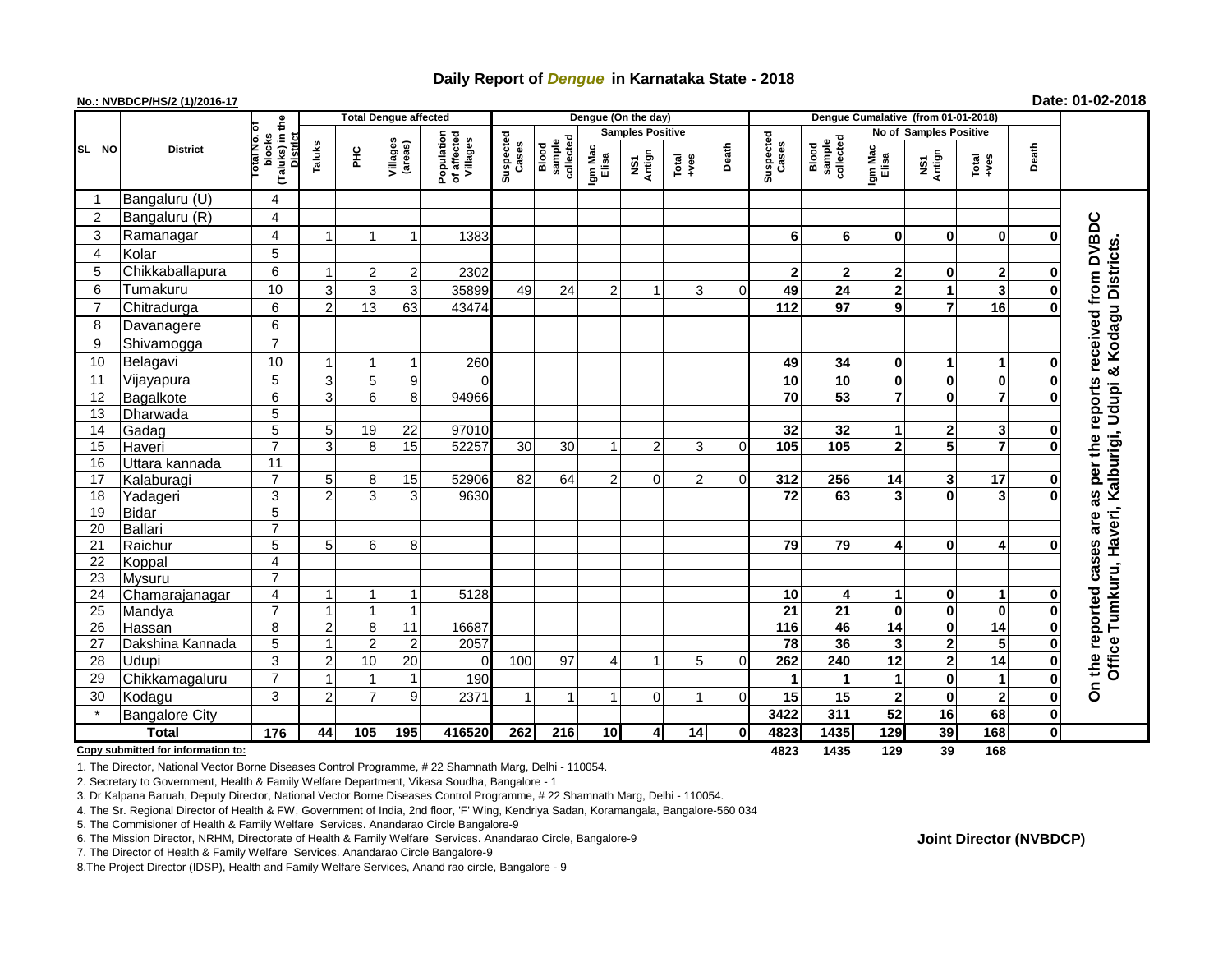# **Daily Report of** *Dengue* **in Karnataka State - 2018**

## **No.: NVBDCP/HS/2 (1)/2016-17 Date: 01-02-2018**

|                                                                        | <b>District</b>       |                                                          | <b>Total Dengue affected</b> |                |                         |                                       |                    |                              |                         | Dengue (On the day)     |                  |             |                    |                              |                  |                         |                         |                         |                                                      |
|------------------------------------------------------------------------|-----------------------|----------------------------------------------------------|------------------------------|----------------|-------------------------|---------------------------------------|--------------------|------------------------------|-------------------------|-------------------------|------------------|-------------|--------------------|------------------------------|------------------|-------------------------|-------------------------|-------------------------|------------------------------------------------------|
|                                                                        |                       |                                                          |                              |                |                         |                                       |                    |                              | <b>Samples Positive</b> |                         |                  |             |                    |                              |                  | No of Samples Positive  |                         |                         |                                                      |
| SL NO                                                                  |                       | (Taluks) in the<br>blocks<br><b>District</b><br>otal No. | Taluks                       | PНC            | Villages<br>(areas)     | Population<br>of affected<br>Villages | Suspected<br>Cases | collected<br>sample<br>Blood | Igm Mac<br>Elisa        | NS1<br>Antign           | Total<br>$+ve$ s | Death       | Suspected<br>Cases | sample<br>collected<br>Blood | Igm Mac<br>Elisa | NS1<br>Antign           | Total<br>+ves           | Death                   |                                                      |
| -1                                                                     | Bangaluru (U)         | $\overline{4}$                                           |                              |                |                         |                                       |                    |                              |                         |                         |                  |             |                    |                              |                  |                         |                         |                         |                                                      |
| $\overline{2}$                                                         | Bangaluru (R)         | $\overline{\mathbf{4}}$                                  |                              |                |                         |                                       |                    |                              |                         |                         |                  |             |                    |                              |                  |                         |                         |                         |                                                      |
| 3                                                                      | Ramanagar             | $\overline{\mathbf{4}}$                                  |                              |                | $\mathbf{1}$            | 1383                                  |                    |                              |                         |                         |                  |             | 6                  | 6                            | $\mathbf{0}$     | $\bf{0}$                | $\bf{0}$                | 0                       | received from DVBDC                                  |
| $\overline{4}$                                                         | Kolar                 | $\overline{5}$                                           |                              |                |                         |                                       |                    |                              |                         |                         |                  |             |                    |                              |                  |                         |                         |                         |                                                      |
| 5                                                                      | Chikkaballapura       | 6                                                        |                              | 2              | 2                       | 2302                                  |                    |                              |                         |                         |                  |             | $\mathbf{2}$       | $\mathbf{2}$                 | $\mathbf{2}$     | 0                       | $\mathbf{2}$            | 0                       | & Kodagu Districts                                   |
| 6                                                                      | Tumakuru              | 10                                                       | 3                            | 3              | 3                       | 35899                                 | 49                 | 24                           | $\overline{2}$          | $\mathbf{1}$            | 3                | $\Omega$    | 49                 | 24                           | $\mathbf{2}$     | 1                       | 3                       | $\bf{0}$                |                                                      |
| $\overline{7}$                                                         | Chitradurga           | $\overline{6}$                                           | $\mathcal{P}$                | 13             | 63                      | 43474                                 |                    |                              |                         |                         |                  |             | 112                | 97                           | 9                | $\overline{7}$          | 16                      | $\Omega$                |                                                      |
| 8                                                                      | Davanagere            | $\overline{6}$                                           |                              |                |                         |                                       |                    |                              |                         |                         |                  |             |                    |                              |                  |                         |                         |                         |                                                      |
| 9                                                                      | Shivamogga            | $\overline{7}$                                           |                              |                |                         |                                       |                    |                              |                         |                         |                  |             |                    |                              |                  |                         |                         |                         |                                                      |
| 10                                                                     | Belagavi              | 10                                                       |                              |                | -1                      | 260                                   |                    |                              |                         |                         |                  |             | 49                 | 34                           | 0                | 1                       | 1                       | 0                       |                                                      |
| 11                                                                     | Vijayapura            | 5                                                        | 3                            | 5              | $\boldsymbol{9}$        | $\Omega$                              |                    |                              |                         |                         |                  |             | 10                 | 10                           | 0                | $\mathbf 0$             | $\bf{0}$                | $\mathbf 0$             |                                                      |
| 12                                                                     | Bagalkote             | $\overline{6}$                                           | 3                            | $6 \mid$       | 8                       | 94966                                 |                    |                              |                         |                         |                  |             | $\overline{70}$    | 53                           | 7                | 0                       | 7                       | 0                       |                                                      |
| 13                                                                     | Dharwada              | $\overline{5}$                                           |                              |                |                         |                                       |                    |                              |                         |                         |                  |             |                    |                              |                  |                         |                         |                         |                                                      |
| 14                                                                     | Gadag                 | $\overline{5}$                                           | 5                            | 19             | 22                      | 97010                                 |                    |                              |                         |                         |                  |             | 32                 | 32                           | 1                | 2                       | 3                       | $\mathbf 0$             |                                                      |
| 15                                                                     | Haveri                | $\overline{7}$                                           | 3                            | 8              | $\overline{15}$         | 52257                                 | 30                 | 30                           | $\mathbf{1}$            | $\overline{2}$          | 3                | 0           | 105                | 105                          | $\overline{2}$   | 5                       |                         | $\Omega$                |                                                      |
| 16                                                                     | Uttara kannada        | 11                                                       |                              |                |                         |                                       |                    |                              |                         |                         |                  |             |                    |                              |                  |                         |                         |                         | per the reports<br>Tumkuru, Haveri, Kalburigi, Udupi |
| 17                                                                     | Kalaburagi            | $\overline{7}$                                           | 5                            | 8              | 15                      | 52906                                 | 82                 | 64                           | $\overline{2}$          | $\Omega$                | $\overline{2}$   | $\Omega$    | 312                | 256                          | 14               | 3                       | 17                      | $\bf{0}$                |                                                      |
| 18                                                                     | Yadageri              | $\overline{3}$                                           | $\mathcal{P}$                | $\mathbf{3}$   | 3                       | 9630                                  |                    |                              |                         |                         |                  |             | $\overline{72}$    | 63                           | 3                | $\bf{0}$                | 3                       | O                       | 36                                                   |
| 19                                                                     | <b>Bidar</b>          | $\overline{5}$                                           |                              |                |                         |                                       |                    |                              |                         |                         |                  |             |                    |                              |                  |                         |                         |                         |                                                      |
| 20                                                                     | Ballari               | $\overline{7}$                                           |                              |                |                         |                                       |                    |                              |                         |                         |                  |             |                    |                              |                  |                         |                         |                         | are                                                  |
| 21                                                                     | Raichur               | $\overline{5}$                                           | 5                            | 6              | 8                       |                                       |                    |                              |                         |                         |                  |             | 79                 | 79                           | 4                | $\bf{0}$                | 4                       | 0                       | cases                                                |
| 22                                                                     | Koppal                | $\overline{\mathbf{4}}$                                  |                              |                |                         |                                       |                    |                              |                         |                         |                  |             |                    |                              |                  |                         |                         |                         |                                                      |
| 23                                                                     | Mysuru                | $\overline{7}$                                           |                              |                |                         |                                       |                    |                              |                         |                         |                  |             |                    |                              |                  |                         |                         |                         |                                                      |
| $\overline{24}$                                                        | Chamarajanagar        | $\overline{4}$                                           |                              |                | -1                      | 5128                                  |                    |                              |                         |                         |                  |             | 10                 | 4                            | 1                | 0                       | $\mathbf{1}$            | $\mathbf 0$             | reported                                             |
| 25                                                                     | Mandya                | $\overline{7}$                                           |                              | $\mathbf{1}$   | $\overline{1}$          |                                       |                    |                              |                         |                         |                  |             | $\overline{21}$    | $\overline{21}$              | $\mathbf 0$      | $\mathbf 0$             | $\overline{\mathbf{0}}$ | $\bf{0}$                |                                                      |
| 26                                                                     | Hassan                | $\overline{8}$                                           | $\overline{2}$               | 8              | 11                      | 16687                                 |                    |                              |                         |                         |                  |             | 116                | 46                           | 14               | $\mathbf 0$             | 14                      | $\mathbf 0$             |                                                      |
| 27                                                                     | Dakshina Kannada      | $\overline{5}$                                           |                              | $\overline{2}$ | $\overline{2}$          | 2057                                  |                    |                              |                         |                         |                  |             | $\overline{78}$    | 36                           | 3                | $\mathbf 2$             | 5                       | $\bf{0}$                |                                                      |
| 28                                                                     | Udupi                 | $\overline{3}$                                           | 2                            | 10             | 20                      | $\Omega$                              | 100                | 97                           | 4                       | $\mathbf{1}$            | 5                | 0           | 262                | 240                          | $\overline{12}$  | $\overline{\mathbf{2}}$ | 14                      | $\bf{0}$                | Office <sup>-</sup><br>On the                        |
| 29                                                                     | Chikkamagaluru        | $\overline{7}$                                           |                              |                | $\overline{\mathbf{1}}$ | 190                                   |                    |                              |                         |                         |                  |             | 1                  |                              | 1                | $\bf{0}$                | $\mathbf{1}$            | $\mathbf 0$             |                                                      |
| 30                                                                     | Kodagu                | 3                                                        | 2                            | $\overline{7}$ | 9                       | 2371                                  | -1                 | $\overline{1}$               | 1                       | $\overline{0}$          | 1                | 0           | 15                 | 15                           | $\mathbf 2$      | $\mathbf 0$             | $\overline{\mathbf{2}}$ | 0                       |                                                      |
|                                                                        | <b>Bangalore City</b> |                                                          |                              |                |                         |                                       |                    |                              |                         |                         |                  |             | 3422               | 311                          | $\overline{52}$  | 16                      | 68                      | $\mathbf 0$             |                                                      |
|                                                                        | <b>Total</b>          | 176                                                      | 44                           | 105            | 195                     | 416520                                | 262                | 216                          | 10                      | $\overline{\mathbf{4}}$ | 14               | $\mathbf 0$ | 4823               | 1435                         | 129              | 39                      | 168                     | $\overline{\mathbf{0}}$ |                                                      |
| 39<br>168<br>Copy submitted for information to:<br>4823<br>1435<br>129 |                       |                                                          |                              |                |                         |                                       |                    |                              |                         |                         |                  |             |                    |                              |                  |                         |                         |                         |                                                      |

1. The Director, National Vector Borne Diseases Control Programme, # 22 Shamnath Marg, Delhi - 110054.

2. Secretary to Government, Health & Family Welfare Department, Vikasa Soudha, Bangalore - 1

3. Dr Kalpana Baruah, Deputy Director, National Vector Borne Diseases Control Programme, # 22 Shamnath Marg, Delhi - 110054.

4. The Sr. Regional Director of Health & FW, Government of India, 2nd floor, 'F' Wing, Kendriya Sadan, Koramangala, Bangalore-560 034

5. The Commisioner of Health & Family Welfare Services. Anandarao Circle Bangalore-9

6. The Mission Director, NRHM, Directorate of Health & Family Welfare Services. Anandarao Circle, Bangalore-9

7. The Director of Health & Family Welfare Services. Anandarao Circle Bangalore-9

8.The Project Director (IDSP), Health and Family Welfare Services, Anand rao circle, Bangalore - 9

**Joint Director (NVBDCP)**